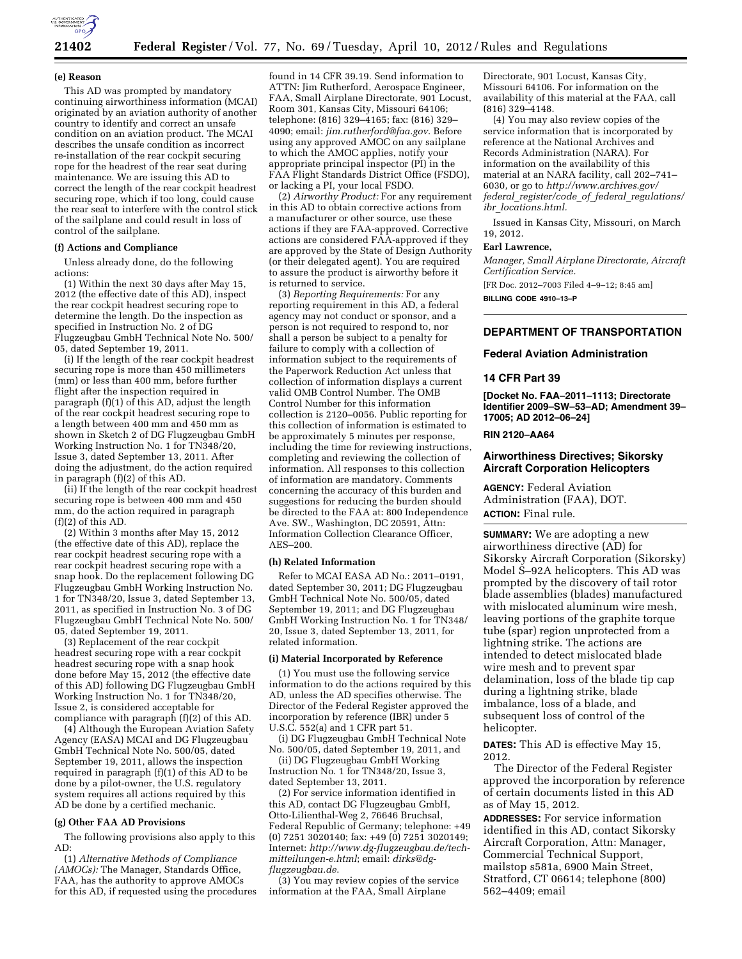

## **21402 Federal Register** / Vol. 77, No. 69 / Tuesday, April 10, 2012 / Rules and Regulations

### **(e) Reason**

This AD was prompted by mandatory continuing airworthiness information (MCAI) originated by an aviation authority of another country to identify and correct an unsafe condition on an aviation product. The MCAI describes the unsafe condition as incorrect re-installation of the rear cockpit securing rope for the headrest of the rear seat during maintenance. We are issuing this AD to correct the length of the rear cockpit headrest securing rope, which if too long, could cause the rear seat to interfere with the control stick of the sailplane and could result in loss of control of the sailplane.

### **(f) Actions and Compliance**

Unless already done, do the following actions:

(1) Within the next 30 days after May 15, 2012 (the effective date of this AD), inspect the rear cockpit headrest securing rope to determine the length. Do the inspection as specified in Instruction No. 2 of DG Flugzeugbau GmbH Technical Note No. 500/ 05, dated September 19, 2011.

(i) If the length of the rear cockpit headrest securing rope is more than 450 millimeters (mm) or less than 400 mm, before further flight after the inspection required in paragraph (f)(1) of this AD, adjust the length of the rear cockpit headrest securing rope to a length between 400 mm and 450 mm as shown in Sketch 2 of DG Flugzeugbau GmbH Working Instruction No. 1 for TN348/20, Issue 3, dated September 13, 2011. After doing the adjustment, do the action required in paragraph (f)(2) of this AD.

(ii) If the length of the rear cockpit headrest securing rope is between 400 mm and 450 mm, do the action required in paragraph (f)(2) of this AD.

(2) Within 3 months after May 15, 2012 (the effective date of this AD), replace the rear cockpit headrest securing rope with a rear cockpit headrest securing rope with a snap hook. Do the replacement following DG Flugzeugbau GmbH Working Instruction No. 1 for TN348/20, Issue 3, dated September 13, 2011, as specified in Instruction No. 3 of DG Flugzeugbau GmbH Technical Note No. 500/ 05, dated September 19, 2011.

(3) Replacement of the rear cockpit headrest securing rope with a rear cockpit headrest securing rope with a snap hook done before May 15, 2012 (the effective date of this AD) following DG Flugzeugbau GmbH Working Instruction No. 1 for TN348/20, Issue 2, is considered acceptable for compliance with paragraph (f)(2) of this AD.

(4) Although the European Aviation Safety Agency (EASA) MCAI and DG Flugzeugbau GmbH Technical Note No. 500/05, dated September 19, 2011, allows the inspection required in paragraph (f)(1) of this AD to be done by a pilot-owner, the U.S. regulatory system requires all actions required by this AD be done by a certified mechanic.

## **(g) Other FAA AD Provisions**

The following provisions also apply to this AD:

(1) *Alternative Methods of Compliance (AMOCs):* The Manager, Standards Office, FAA, has the authority to approve AMOCs for this AD, if requested using the procedures

found in 14 CFR 39.19. Send information to ATTN: Jim Rutherford, Aerospace Engineer, FAA, Small Airplane Directorate, 901 Locust, Room 301, Kansas City, Missouri 64106; telephone: (816) 329–4165; fax: (816) 329– 4090; email: *[jim.rutherford@faa.gov](mailto:jim.rutherford@faa.gov)*. Before using any approved AMOC on any sailplane to which the AMOC applies, notify your appropriate principal inspector (PI) in the FAA Flight Standards District Office (FSDO), or lacking a PI, your local FSDO.

(2) *Airworthy Product:* For any requirement in this AD to obtain corrective actions from a manufacturer or other source, use these actions if they are FAA-approved. Corrective actions are considered FAA-approved if they are approved by the State of Design Authority (or their delegated agent). You are required to assure the product is airworthy before it is returned to service.

(3) *Reporting Requirements:* For any reporting requirement in this AD, a federal agency may not conduct or sponsor, and a person is not required to respond to, nor shall a person be subject to a penalty for failure to comply with a collection of information subject to the requirements of the Paperwork Reduction Act unless that collection of information displays a current valid OMB Control Number. The OMB Control Number for this information collection is 2120–0056. Public reporting for this collection of information is estimated to be approximately 5 minutes per response, including the time for reviewing instructions, completing and reviewing the collection of information. All responses to this collection of information are mandatory. Comments concerning the accuracy of this burden and suggestions for reducing the burden should be directed to the FAA at: 800 Independence Ave. SW., Washington, DC 20591, Attn: Information Collection Clearance Officer, AES–200.

### **(h) Related Information**

Refer to MCAI EASA AD No.: 2011–0191, dated September 30, 2011; DG Flugzeugbau GmbH Technical Note No. 500/05, dated September 19, 2011; and DG Flugzeugbau GmbH Working Instruction No. 1 for TN348/ 20, Issue 3, dated September 13, 2011, for related information.

## **(i) Material Incorporated by Reference**

(1) You must use the following service information to do the actions required by this AD, unless the AD specifies otherwise. The Director of the Federal Register approved the incorporation by reference (IBR) under 5 U.S.C. 552(a) and 1 CFR part 51.

(i) DG Flugzeugbau GmbH Technical Note No. 500/05, dated September 19, 2011, and

(ii) DG Flugzeugbau GmbH Working Instruction No. 1 for TN348/20, Issue 3, dated September 13, 2011.

(2) For service information identified in this AD, contact DG Flugzeugbau GmbH, Otto-Lilienthal-Weg 2, 76646 Bruchsal, Federal Republic of Germany; telephone: +49 (0) 7251 3020140; fax: +49 (0) 7251 3020149; Internet: *[http://www.dg-flugzeugbau.de/tech](http://www.dg-flugzeugbau.de/tech-mitteilungen-e.html)[mitteilungen-e.html](http://www.dg-flugzeugbau.de/tech-mitteilungen-e.html)*; email: *[dirks@dg](mailto:dirks@dg-flugzeugbau.de)[flugzeugbau.de](mailto:dirks@dg-flugzeugbau.de)*.

(3) You may review copies of the service information at the FAA, Small Airplane

Directorate, 901 Locust, Kansas City, Missouri 64106. For information on the availability of this material at the FAA, call (816) 329–4148.

(4) You may also review copies of the service information that is incorporated by reference at the National Archives and Records Administration (NARA). For information on the availability of this material at an NARA facility, call 202–741– 6030, or go to *[http://www.archives.gov/](http://www.archives.gov/federal_register/code_of_federal_regulations/ibr_locations.html)  federal*\_*[register/code](http://www.archives.gov/federal_register/code_of_federal_regulations/ibr_locations.html)*\_*of*\_*federal*\_*regulations/ ibr*\_*[locations.html.](http://www.archives.gov/federal_register/code_of_federal_regulations/ibr_locations.html)* 

Issued in Kansas City, Missouri, on March 19, 2012.

### **Earl Lawrence,**

*Manager, Small Airplane Directorate, Aircraft Certification Service.* 

[FR Doc. 2012–7003 Filed 4–9–12; 8:45 am]

**BILLING CODE 4910–13–P** 

## **DEPARTMENT OF TRANSPORTATION**

## **Federal Aviation Administration**

## **14 CFR Part 39**

**[Docket No. FAA–2011–1113; Directorate Identifier 2009–SW–53–AD; Amendment 39– 17005; AD 2012–06–24]** 

### **RIN 2120–AA64**

## **Airworthiness Directives; Sikorsky Aircraft Corporation Helicopters**

**AGENCY:** Federal Aviation Administration (FAA), DOT. **ACTION:** Final rule.

**SUMMARY:** We are adopting a new airworthiness directive (AD) for Sikorsky Aircraft Corporation (Sikorsky) Model S–92A helicopters. This AD was prompted by the discovery of tail rotor blade assemblies (blades) manufactured with mislocated aluminum wire mesh, leaving portions of the graphite torque tube (spar) region unprotected from a lightning strike. The actions are intended to detect mislocated blade wire mesh and to prevent spar delamination, loss of the blade tip cap during a lightning strike, blade imbalance, loss of a blade, and subsequent loss of control of the helicopter.

**DATES:** This AD is effective May 15, 2012.

The Director of the Federal Register approved the incorporation by reference of certain documents listed in this AD as of May 15, 2012.

**ADDRESSES:** For service information identified in this AD, contact Sikorsky Aircraft Corporation, Attn: Manager, Commercial Technical Support, mailstop s581a, 6900 Main Street, Stratford, CT 06614; telephone (800) 562–4409; email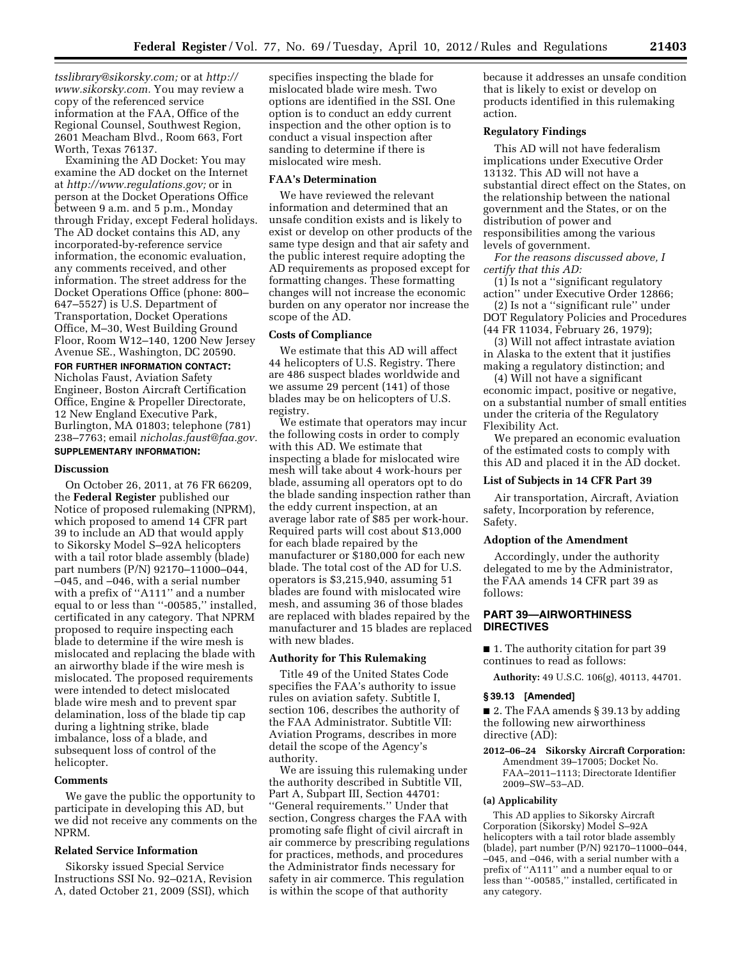*[tsslibrary@sikorsky.com;](mailto:tsslibrary@sikorsky.com)* or at *[http://](http://www.sikorsky.com) [www.sikorsky.com.](http://www.sikorsky.com)* You may review a copy of the referenced service information at the FAA, Office of the Regional Counsel, Southwest Region, 2601 Meacham Blvd., Room 663, Fort Worth, Texas 76137.

Examining the AD Docket: You may examine the AD docket on the Internet at *[http://www.regulations.gov;](http://www.regulations.gov)* or in person at the Docket Operations Office between 9 a.m. and 5 p.m., Monday through Friday, except Federal holidays. The AD docket contains this AD, any incorporated-by-reference service information, the economic evaluation, any comments received, and other information. The street address for the Docket Operations Office (phone: 800– 647–5527) is U.S. Department of Transportation, Docket Operations Office, M–30, West Building Ground Floor, Room W12–140, 1200 New Jersey Avenue SE., Washington, DC 20590.

### **FOR FURTHER INFORMATION CONTACT:**

Nicholas Faust, Aviation Safety Engineer, Boston Aircraft Certification Office, Engine & Propeller Directorate, 12 New England Executive Park, Burlington, MA 01803; telephone (781) 238–7763; email *[nicholas.faust@faa.gov.](mailto:nicholas.faust@faa.gov)*  **SUPPLEMENTARY INFORMATION:** 

### **Discussion**

On October 26, 2011, at 76 FR 66209, the **Federal Register** published our Notice of proposed rulemaking (NPRM), which proposed to amend 14 CFR part 39 to include an AD that would apply to Sikorsky Model S–92A helicopters with a tail rotor blade assembly (blade) part numbers (P/N) 92170–11000–044, –045, and –046, with a serial number with a prefix of ''A111'' and a number equal to or less than ''-00585,'' installed, certificated in any category. That NPRM proposed to require inspecting each blade to determine if the wire mesh is mislocated and replacing the blade with an airworthy blade if the wire mesh is mislocated. The proposed requirements were intended to detect mislocated blade wire mesh and to prevent spar delamination, loss of the blade tip cap during a lightning strike, blade imbalance, loss of a blade, and subsequent loss of control of the helicopter.

### **Comments**

We gave the public the opportunity to participate in developing this AD, but we did not receive any comments on the NPRM.

# **Related Service Information**

Sikorsky issued Special Service Instructions SSI No. 92–021A, Revision A, dated October 21, 2009 (SSI), which

specifies inspecting the blade for mislocated blade wire mesh. Two options are identified in the SSI. One option is to conduct an eddy current inspection and the other option is to conduct a visual inspection after sanding to determine if there is mislocated wire mesh.

## **FAA's Determination**

We have reviewed the relevant information and determined that an unsafe condition exists and is likely to exist or develop on other products of the same type design and that air safety and the public interest require adopting the AD requirements as proposed except for formatting changes. These formatting changes will not increase the economic burden on any operator nor increase the scope of the AD.

## **Costs of Compliance**

We estimate that this AD will affect 44 helicopters of U.S. Registry. There are 486 suspect blades worldwide and we assume 29 percent (141) of those blades may be on helicopters of U.S. registry.

We estimate that operators may incur the following costs in order to comply with this AD. We estimate that inspecting a blade for mislocated wire mesh will take about 4 work-hours per blade, assuming all operators opt to do the blade sanding inspection rather than the eddy current inspection, at an average labor rate of \$85 per work-hour. Required parts will cost about \$13,000 for each blade repaired by the manufacturer or \$180,000 for each new blade. The total cost of the AD for U.S. operators is \$3,215,940, assuming 51 blades are found with mislocated wire mesh, and assuming 36 of those blades are replaced with blades repaired by the manufacturer and 15 blades are replaced with new blades.

## **Authority for This Rulemaking**

Title 49 of the United States Code specifies the FAA's authority to issue rules on aviation safety. Subtitle I, section 106, describes the authority of the FAA Administrator. Subtitle VII: Aviation Programs, describes in more detail the scope of the Agency's authority.

We are issuing this rulemaking under the authority described in Subtitle VII, Part A, Subpart III, Section 44701: ''General requirements.'' Under that section, Congress charges the FAA with promoting safe flight of civil aircraft in air commerce by prescribing regulations for practices, methods, and procedures the Administrator finds necessary for safety in air commerce. This regulation is within the scope of that authority

because it addresses an unsafe condition that is likely to exist or develop on products identified in this rulemaking action.

## **Regulatory Findings**

This AD will not have federalism implications under Executive Order 13132. This AD will not have a substantial direct effect on the States, on the relationship between the national government and the States, or on the distribution of power and responsibilities among the various levels of government.

*For the reasons discussed above, I certify that this AD:* 

(1) Is not a ''significant regulatory action'' under Executive Order 12866;

(2) Is not a ''significant rule'' under DOT Regulatory Policies and Procedures (44 FR 11034, February 26, 1979);

(3) Will not affect intrastate aviation in Alaska to the extent that it justifies making a regulatory distinction; and

(4) Will not have a significant economic impact, positive or negative, on a substantial number of small entities under the criteria of the Regulatory Flexibility Act.

We prepared an economic evaluation of the estimated costs to comply with this AD and placed it in the AD docket.

### **List of Subjects in 14 CFR Part 39**

Air transportation, Aircraft, Aviation safety, Incorporation by reference, Safety.

## **Adoption of the Amendment**

Accordingly, under the authority delegated to me by the Administrator, the FAA amends 14 CFR part 39 as follows:

# **PART 39—AIRWORTHINESS DIRECTIVES**

■ 1. The authority citation for part 39 continues to read as follows:

**Authority:** 49 U.S.C. 106(g), 40113, 44701.

# **§ 39.13 [Amended]**

■ 2. The FAA amends § 39.13 by adding the following new airworthiness directive (AD):

**2012–06–24 Sikorsky Aircraft Corporation:**  Amendment 39–17005; Docket No. FAA–2011–1113; Directorate Identifier 2009–SW–53–AD.

#### **(a) Applicability**

This AD applies to Sikorsky Aircraft Corporation (Sikorsky) Model S–92A helicopters with a tail rotor blade assembly (blade), part number (P/N) 92170–11000–044, –045, and –046, with a serial number with a prefix of ''A111'' and a number equal to or less than ''-00585,'' installed, certificated in any category.